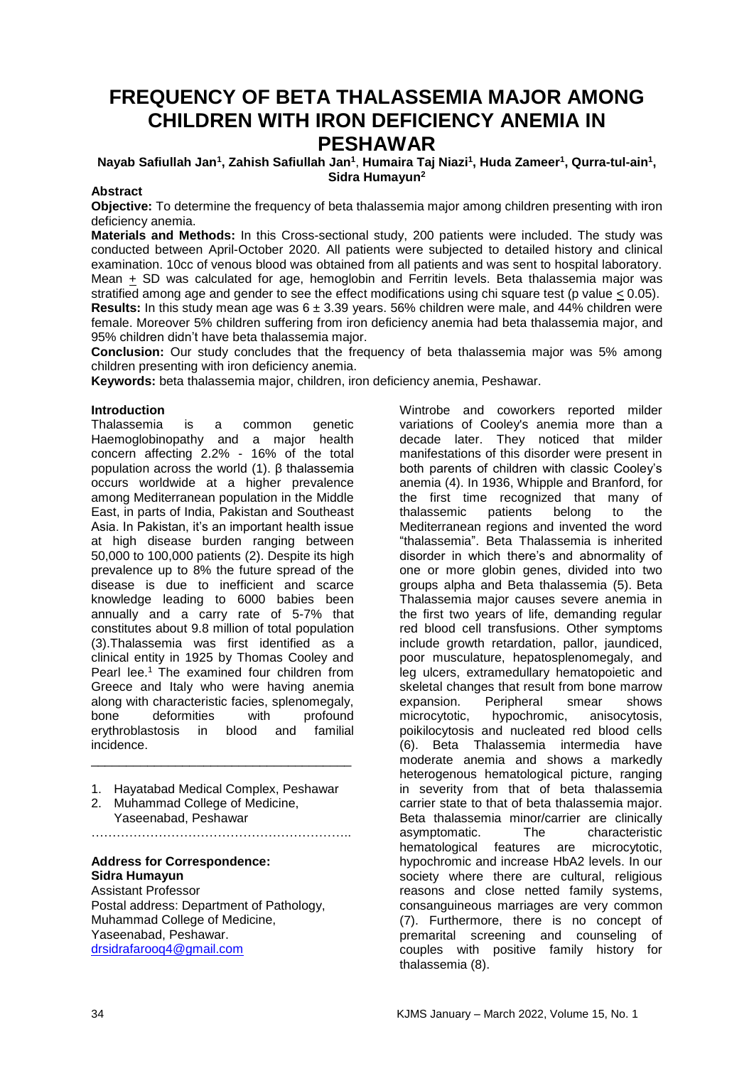# **FREQUENCY OF BETA THALASSEMIA MAJOR AMONG CHILDREN WITH IRON DEFICIENCY ANEMIA IN PESHAWAR**

 $\bm{\mathsf{N}}$ ayab Safiullah Jan $^1$ , Zahish Safiullah Jan $^1$ , Humaira Taj Niazi $^1$ , Huda Zameer $^1$ , Qurra-tul-ain $^1$ , **Sidra Humayun<sup>2</sup>**

#### **Abstract**

**Objective:** To determine the frequency of beta thalassemia major among children presenting with iron deficiency anemia.

**Materials and Methods:** In this Cross-sectional study, 200 patients were included. The study was conducted between April-October 2020. All patients were subjected to detailed history and clinical examination. 10cc of venous blood was obtained from all patients and was sent to hospital laboratory. Mean  $\pm$  SD was calculated for age, hemoglobin and Ferritin levels. Beta thalassemia major was stratified among age and gender to see the effect modifications using chi square test (p value < 0.05). **Results:** In this study mean age was 6 ± 3.39 years. 56% children were male, and 44% children were female. Moreover 5% children suffering from iron deficiency anemia had beta thalassemia major, and 95% children didn't have beta thalassemia major.

**Conclusion:** Our study concludes that the frequency of beta thalassemia major was 5% among children presenting with iron deficiency anemia.

**Keywords:** beta thalassemia major, children, iron deficiency anemia, Peshawar.

# **Introduction**

Thalassemia is a common genetic Haemoglobinopathy and a major health concern affecting 2.2% - 16% of the total population across the world (1). β thalassemia occurs worldwide at a higher prevalence among Mediterranean population in the Middle East, in parts of India, Pakistan and Southeast Asia. In Pakistan, it's an important health issue at high disease burden ranging between 50,000 to 100,000 patients (2). Despite its high prevalence up to 8% the future spread of the disease is due to inefficient and scarce knowledge leading to 6000 babies been annually and a carry rate of 5-7% that constitutes about 9.8 million of total population (3).Thalassemia was first identified as a clinical entity in 1925 by Thomas Cooley and Pearl lee.<sup>1</sup> The examined four children from Greece and Italy who were having anemia along with characteristic facies, splenomegaly,<br>bone deformities with profound bone deformities erythroblastosis in blood and familial incidence.

1. Hayatabad Medical Complex, Peshawar

\_\_\_\_\_\_\_\_\_\_\_\_\_\_\_\_\_\_\_\_\_\_\_\_\_\_\_\_\_\_\_\_\_\_\_\_\_

2. Muhammad College of Medicine, Yaseenabad, Peshawar ……………………………………………………..

#### **Address for Correspondence: Sidra Humayun** Assistant Professor

Postal address: Department of Pathology, Muhammad College of Medicine, Yaseenabad, Peshawar. [drsidrafarooq4@gmail.com](mailto:drsidrafarooq4@gmail.com)

Wintrobe and coworkers reported milder variations of Cooley's anemia more than a decade later. They noticed that milder manifestations of this disorder were present in both parents of children with classic Cooley's anemia (4). In 1936, Whipple and Branford, for the first time recognized that many of thalassemic patients belong to the Mediterranean regions and invented the word "thalassemia". Beta Thalassemia is inherited disorder in which there's and abnormality of one or more globin genes, divided into two groups alpha and Beta thalassemia (5). Beta Thalassemia major causes severe anemia in the first two years of life, demanding regular red blood cell transfusions. Other symptoms include growth retardation, pallor, jaundiced, poor musculature, hepatosplenomegaly, and leg ulcers, extramedullary hematopoietic and skeletal changes that result from bone marrow expansion. Peripheral smear shows microcytotic, hypochromic, anisocytosis, poikilocytosis and nucleated red blood cells (6). Beta Thalassemia intermedia have moderate anemia and shows a markedly heterogenous hematological picture, ranging in severity from that of beta thalassemia carrier state to that of beta thalassemia major. Beta thalassemia minor/carrier are clinically asymptomatic. The characteristic hematological features are microcytotic, hypochromic and increase HbA2 levels. In our society where there are cultural, religious reasons and close netted family systems, consanguineous marriages are very common (7). Furthermore, there is no concept of premarital screening and counseling of couples with positive family history for thalassemia (8).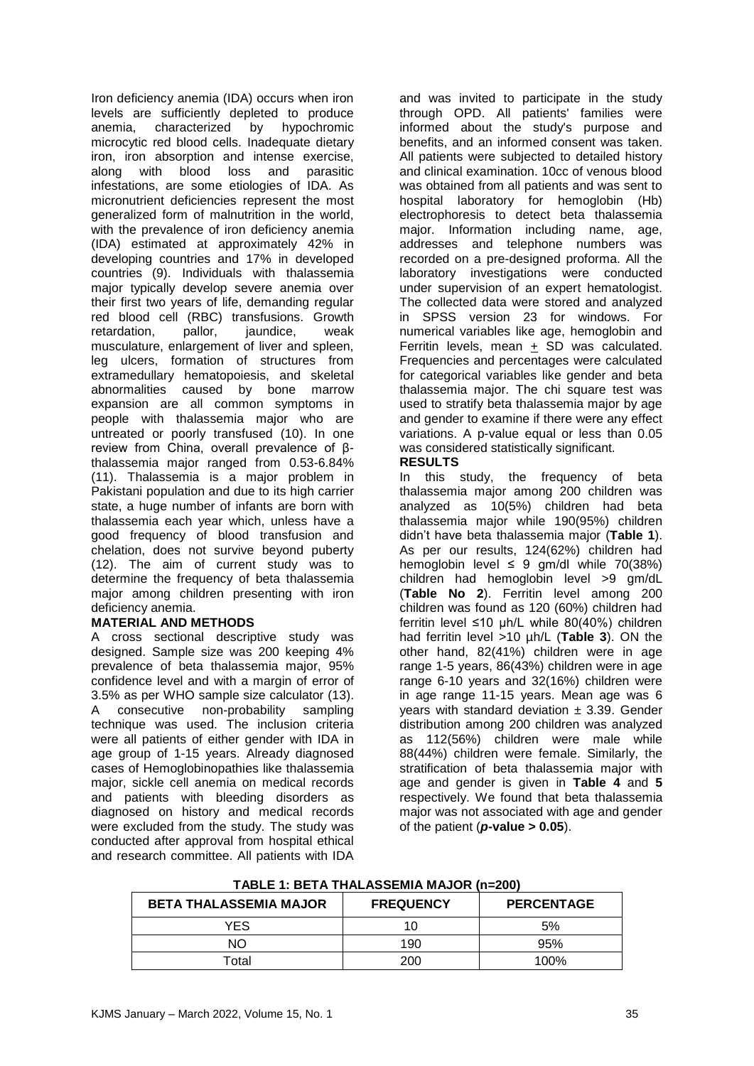Iron deficiency anemia (IDA) occurs when iron levels are sufficiently depleted to produce anemia, characterized by hypochromic microcytic red blood cells. Inadequate dietary iron, iron absorption and intense exercise, along with blood loss and parasitic infestations, are some etiologies of IDA. As micronutrient deficiencies represent the most generalized form of malnutrition in the world, with the prevalence of iron deficiency anemia (IDA) estimated at approximately 42% in developing countries and 17% in developed countries (9). Individuals with thalassemia major typically develop severe anemia over their first two years of life, demanding regular red blood cell (RBC) transfusions. Growth retardation, pallor, jaundice, weak musculature, enlargement of liver and spleen, leg ulcers, formation of structures from extramedullary hematopoiesis, and skeletal abnormalities caused by bone marrow expansion are all common symptoms in people with thalassemia major who are untreated or poorly transfused (10). In one review from China, overall prevalence of βthalassemia major ranged from 0.53-6.84% (11). Thalassemia is a major problem in Pakistani population and due to its high carrier state, a huge number of infants are born with thalassemia each year which, unless have a good frequency of blood transfusion and chelation, does not survive beyond puberty (12). The aim of current study was to determine the frequency of beta thalassemia major among children presenting with iron deficiency anemia.

# **MATERIAL AND METHODS**

A cross sectional descriptive study was designed. Sample size was 200 keeping 4% prevalence of beta thalassemia major, 95% confidence level and with a margin of error of 3.5% as per WHO sample size calculator (13). A consecutive non-probability sampling technique was used. The inclusion criteria were all patients of either gender with IDA in age group of 1-15 years. Already diagnosed cases of Hemoglobinopathies like thalassemia major, sickle cell anemia on medical records and patients with bleeding disorders as diagnosed on history and medical records were excluded from the study. The study was conducted after approval from hospital ethical and research committee. All patients with IDA

and was invited to participate in the study through OPD. All patients' families were informed about the study's purpose and benefits, and an informed consent was taken. All patients were subjected to detailed history and clinical examination. 10cc of venous blood was obtained from all patients and was sent to hospital laboratory for hemoglobin (Hb) electrophoresis to detect beta thalassemia major. Information including name, age, addresses and telephone numbers was recorded on a pre-designed proforma. All the laboratory investigations were conducted under supervision of an expert hematologist. The collected data were stored and analyzed in SPSS version 23 for windows. For numerical variables like age, hemoglobin and Ferritin levels, mean  $+$  SD was calculated. Frequencies and percentages were calculated for categorical variables like gender and beta thalassemia major. The chi square test was used to stratify beta thalassemia major by age and gender to examine if there were any effect variations. A p-value equal or less than 0.05 was considered statistically significant.

# **RESULTS**

In this study, the frequency of beta thalassemia major among 200 children was analyzed as 10(5%) children had beta thalassemia major while 190(95%) children didn't have beta thalassemia major (**Table 1**). As per our results, 124(62%) children had hemoglobin level  $\leq 9$  gm/dl while 70(38%) children had hemoglobin level >9 gm/dL (**Table No 2**). Ferritin level among 200 children was found as 120 (60%) children had ferritin level ≤10 µh/L while 80(40%) children had ferritin level >10 µh/L (**Table 3**). ON the other hand, 82(41%) children were in age range 1-5 years, 86(43%) children were in age range 6-10 years and 32(16%) children were in age range 11-15 years. Mean age was 6 years with standard deviation  $\pm$  3.39. Gender distribution among 200 children was analyzed as 112(56%) children were male while 88(44%) children were female. Similarly, the stratification of beta thalassemia major with age and gender is given in **Table 4** and **5** respectively. We found that beta thalassemia major was not associated with age and gender of the patient  $(p$ **-value > 0.05**).

| <b>BETA THALASSEMIA MAJOR</b> | <b>FREQUENCY</b> | <b>PERCENTAGE</b> |  |  |
|-------------------------------|------------------|-------------------|--|--|
| YES                           |                  | 5%                |  |  |
| NΟ                            | 190              | 95%               |  |  |
| Total                         | 200              | 100%              |  |  |

**TABLE 1: BETA THALASSEMIA MAJOR (n=200)**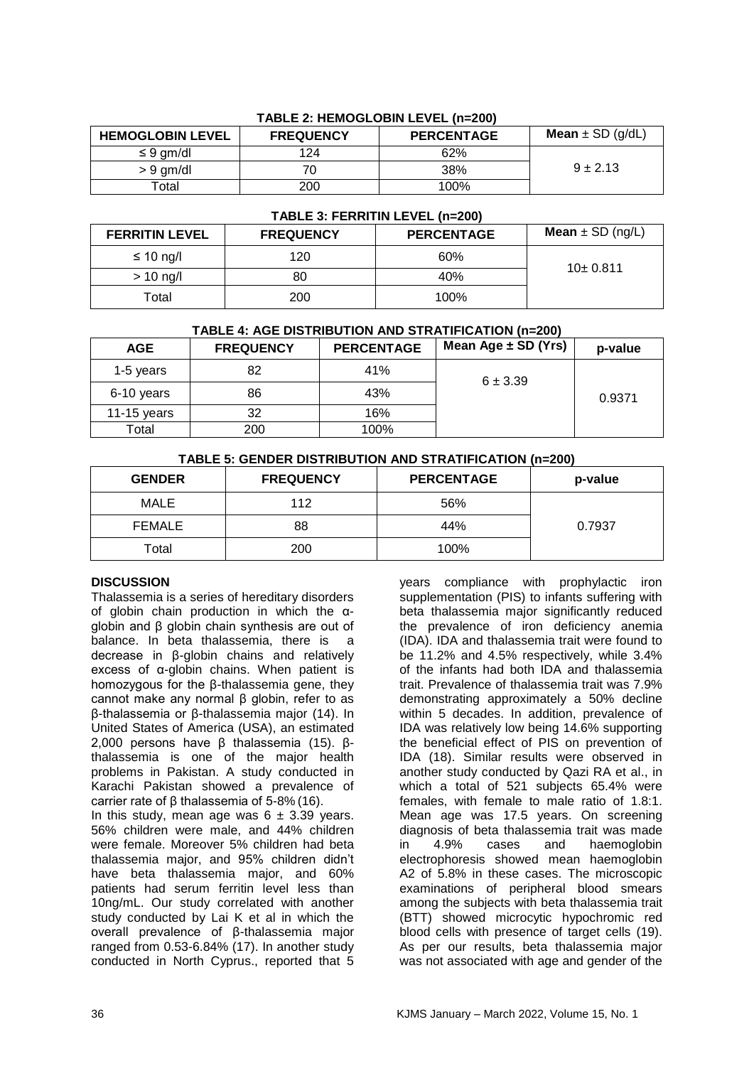| <b>HEMOGLOBIN LEVEL</b> | <b>FREQUENCY</b> | <b>PERCENTAGE</b> | <b>Mean</b> $\pm$ SD (g/dL) |
|-------------------------|------------------|-------------------|-----------------------------|
| $\leq 9$ gm/dl          | 124              | 62%               |                             |
| $> 9$ gm/dl             | 70               | 38%               | $9 + 2.13$                  |
| Total                   | 200              | 100%              |                             |

# **TABLE 2: HEMOGLOBIN LEVEL (n=200)**

#### **TABLE 3: FERRITIN LEVEL (n=200)**

| <b>FERRITIN LEVEL</b> | <b>FREQUENCY</b> | <b>PERCENTAGE</b> | <b>Mean</b> $\pm$ SD (ng/L) |  |
|-----------------------|------------------|-------------------|-----------------------------|--|
| ≤ 10 ng/l             | 120              | 60%               |                             |  |
| $> 10$ ng/l           | 80               | 40%               | 10±0.811                    |  |
| Total                 | 200              | 100%              |                             |  |

# **TABLE 4: AGE DISTRIBUTION AND STRATIFICATION (n=200)**

| <b>AGE</b>  | <b>FREQUENCY</b> | <b>PERCENTAGE</b> | Mean Age $\pm$ SD (Yrs) | p-value |
|-------------|------------------|-------------------|-------------------------|---------|
| 1-5 years   | 82               | 41%               | $6 + 3.39$              |         |
| 6-10 years  | 86               | 43%               |                         | 0.9371  |
| 11-15 years | 32               | 16%               |                         |         |
| Total       | 200              | 100%              |                         |         |

# **TABLE 5: GENDER DISTRIBUTION AND STRATIFICATION (n=200)**

| <b>GENDER</b> | <b>FREQUENCY</b> | <b>PERCENTAGE</b> | p-value |
|---------------|------------------|-------------------|---------|
| MALE          | 112              | 56%               |         |
| <b>FEMALE</b> | 88               | 44%               | 0.7937  |
| Total         | 200              | 100%              |         |

# **DISCUSSION**

Thalassemia is a series of hereditary disorders of globin chain production in which the αglobin and β globin chain synthesis are out of balance. In beta thalassemia, there is a decrease in β-globin chains and relatively excess of α-globin chains. When patient is homozygous for the β-thalassemia gene, they cannot make any normal β globin, refer to as β-thalassemia or β-thalassemia major (14). In United States of America (USA), an estimated 2,000 persons have β thalassemia (15). βthalassemia is one of the major health problems in Pakistan. A study conducted in Karachi Pakistan showed a prevalence of carrier rate of β thalassemia of 5-8% (16).

In this study, mean age was  $6 \pm 3.39$  years. 56% children were male, and 44% children were female. Moreover 5% children had beta thalassemia major, and 95% children didn't have beta thalassemia major, and 60% patients had serum ferritin level less than 10ng/mL. Our study correlated with another study conducted by Lai K et al in which the overall prevalence of β-thalassemia major ranged from 0.53-6.84% (17). In another study conducted in North Cyprus., reported that 5

years compliance with prophylactic iron supplementation (PIS) to infants suffering with beta thalassemia major significantly reduced the prevalence of iron deficiency anemia (IDA). IDA and thalassemia trait were found to be 11.2% and 4.5% respectively, while 3.4% of the infants had both IDA and thalassemia trait. Prevalence of thalassemia trait was 7.9% demonstrating approximately a 50% decline within 5 decades. In addition, prevalence of IDA was relatively low being 14.6% supporting the beneficial effect of PIS on prevention of IDA (18). Similar results were observed in another study conducted by Qazi RA et al., in which a total of 521 subjects 65.4% were females, with female to male ratio of 1.8:1. Mean age was 17.5 years. On screening diagnosis of beta thalassemia trait was made in 4.9% cases and haemoglobin electrophoresis showed mean haemoglobin A2 of 5.8% in these cases. The microscopic examinations of peripheral blood smears among the subjects with beta thalassemia trait (BTT) showed microcytic hypochromic red blood cells with presence of target cells (19). As per our results, beta thalassemia major was not associated with age and gender of the